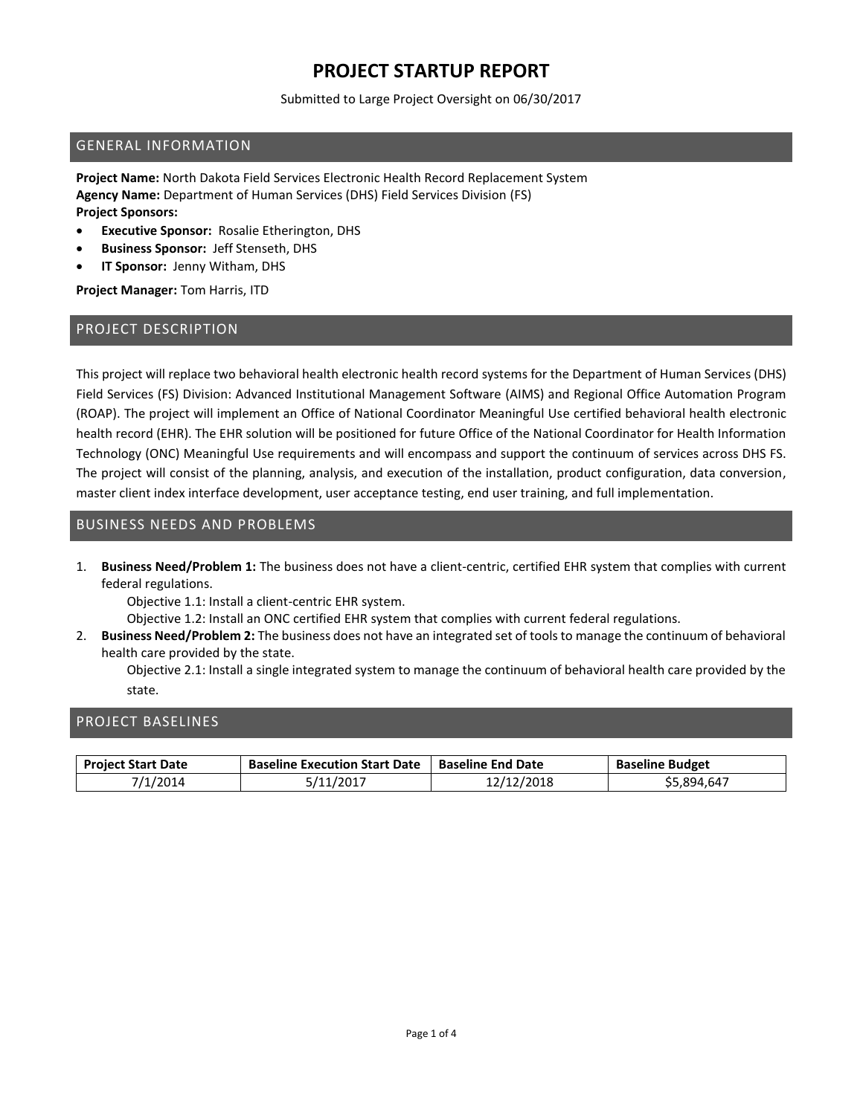Submitted to Large Project Oversight on 06/30/2017

#### GENERAL INFORMATION

**Project Name:** North Dakota Field Services Electronic Health Record Replacement System **Agency Name:** Department of Human Services (DHS) Field Services Division (FS) **Project Sponsors:**

- **Executive Sponsor:** Rosalie Etherington, DHS
- **Business Sponsor:** Jeff Stenseth, DHS
- **IT Sponsor:** Jenny Witham, DHS

**Project Manager:** Tom Harris, ITD

#### PROJECT DESCRIPTION

This project will replace two behavioral health electronic health record systems for the Department of Human Services (DHS) Field Services (FS) Division: Advanced Institutional Management Software (AIMS) and Regional Office Automation Program (ROAP). The project will implement an Office of National Coordinator Meaningful Use certified behavioral health electronic health record (EHR). The EHR solution will be positioned for future Office of the National Coordinator for Health Information Technology (ONC) Meaningful Use requirements and will encompass and support the continuum of services across DHS FS. The project will consist of the planning, analysis, and execution of the installation, product configuration, data conversion, master client index interface development, user acceptance testing, end user training, and full implementation.

## BUSINESS NEEDS AND PROBLEMS

1. **Business Need/Problem 1:** The business does not have a client-centric, certified EHR system that complies with current federal regulations.

Objective 1.1: Install a client-centric EHR system.

Objective 1.2: Install an ONC certified EHR system that complies with current federal regulations.

2. **Business Need/Problem 2:** The business does not have an integrated set of tools to manage the continuum of behavioral health care provided by the state.

Objective 2.1: Install a single integrated system to manage the continuum of behavioral health care provided by the state.

#### PROJECT BASELINES

| <b>Project Start Date</b> | <b>Baseline Execution Start Date</b> | <b>Baseline End Date</b> | <b>Baseline Budget</b> |
|---------------------------|--------------------------------------|--------------------------|------------------------|
| 7/1/2014                  | 5/11/2017                            | 12/12/2018               | \$5,894,647            |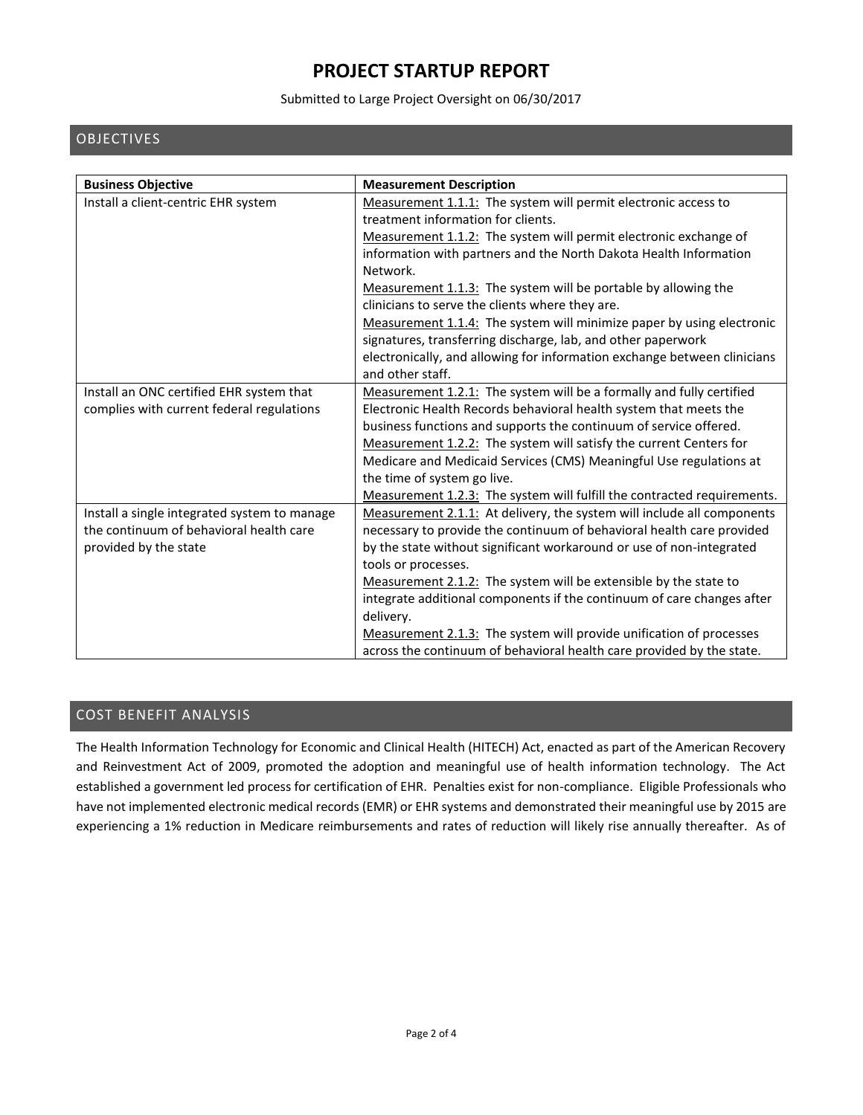#### Submitted to Large Project Oversight on 06/30/2017

## OBJECTIVES

| <b>Business Objective</b>                    | <b>Measurement Description</b>                                           |
|----------------------------------------------|--------------------------------------------------------------------------|
| Install a client-centric EHR system          | Measurement 1.1.1: The system will permit electronic access to           |
|                                              | treatment information for clients.                                       |
|                                              | Measurement 1.1.2: The system will permit electronic exchange of         |
|                                              | information with partners and the North Dakota Health Information        |
|                                              | Network.                                                                 |
|                                              | Measurement 1.1.3: The system will be portable by allowing the           |
|                                              | clinicians to serve the clients where they are.                          |
|                                              | Measurement 1.1.4: The system will minimize paper by using electronic    |
|                                              | signatures, transferring discharge, lab, and other paperwork             |
|                                              | electronically, and allowing for information exchange between clinicians |
|                                              | and other staff.                                                         |
| Install an ONC certified EHR system that     | Measurement 1.2.1: The system will be a formally and fully certified     |
| complies with current federal regulations    | Electronic Health Records behavioral health system that meets the        |
|                                              | business functions and supports the continuum of service offered.        |
|                                              | Measurement 1.2.2: The system will satisfy the current Centers for       |
|                                              | Medicare and Medicaid Services (CMS) Meaningful Use regulations at       |
|                                              | the time of system go live.                                              |
|                                              | Measurement 1.2.3: The system will fulfill the contracted requirements.  |
| Install a single integrated system to manage | Measurement 2.1.1: At delivery, the system will include all components   |
| the continuum of behavioral health care      | necessary to provide the continuum of behavioral health care provided    |
| provided by the state                        | by the state without significant workaround or use of non-integrated     |
|                                              | tools or processes.                                                      |
|                                              | Measurement 2.1.2: The system will be extensible by the state to         |
|                                              | integrate additional components if the continuum of care changes after   |
|                                              | delivery.                                                                |
|                                              | Measurement 2.1.3: The system will provide unification of processes      |
|                                              | across the continuum of behavioral health care provided by the state.    |

## COST BENEFIT ANALYSIS

The Health Information Technology for Economic and Clinical Health (HITECH) Act, enacted as part of the American Recovery and Reinvestment Act of 2009, promoted the adoption and meaningful use of health information technology. The Act established a government led process for certification of EHR. Penalties exist for non-compliance. Eligible Professionals who have not implemented electronic medical records (EMR) or EHR systems and demonstrated their meaningful use by 2015 are experiencing a 1% reduction in Medicare reimbursements and rates of reduction will likely rise annually thereafter. As of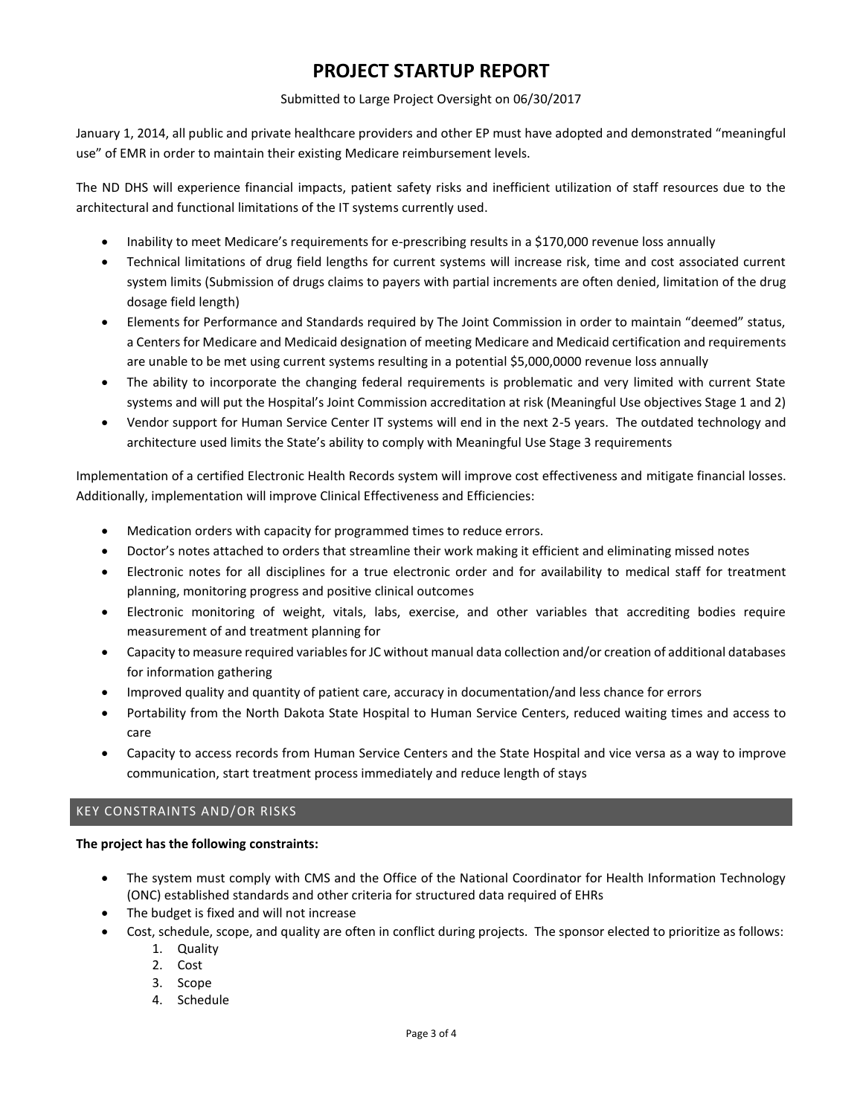#### Submitted to Large Project Oversight on 06/30/2017

January 1, 2014, all public and private healthcare providers and other EP must have adopted and demonstrated "meaningful use" of EMR in order to maintain their existing Medicare reimbursement levels.

The ND DHS will experience financial impacts, patient safety risks and inefficient utilization of staff resources due to the architectural and functional limitations of the IT systems currently used.

- Inability to meet Medicare's requirements for e-prescribing results in a \$170,000 revenue loss annually
- Technical limitations of drug field lengths for current systems will increase risk, time and cost associated current system limits (Submission of drugs claims to payers with partial increments are often denied, limitation of the drug dosage field length)
- Elements for Performance and Standards required by The Joint Commission in order to maintain "deemed" status, a Centers for Medicare and Medicaid designation of meeting Medicare and Medicaid certification and requirements are unable to be met using current systems resulting in a potential \$5,000,0000 revenue loss annually
- The ability to incorporate the changing federal requirements is problematic and very limited with current State systems and will put the Hospital's Joint Commission accreditation at risk (Meaningful Use objectives Stage 1 and 2)
- Vendor support for Human Service Center IT systems will end in the next 2-5 years. The outdated technology and architecture used limits the State's ability to comply with Meaningful Use Stage 3 requirements

Implementation of a certified Electronic Health Records system will improve cost effectiveness and mitigate financial losses. Additionally, implementation will improve Clinical Effectiveness and Efficiencies:

- Medication orders with capacity for programmed times to reduce errors.
- Doctor's notes attached to orders that streamline their work making it efficient and eliminating missed notes
- Electronic notes for all disciplines for a true electronic order and for availability to medical staff for treatment planning, monitoring progress and positive clinical outcomes
- Electronic monitoring of weight, vitals, labs, exercise, and other variables that accrediting bodies require measurement of and treatment planning for
- Capacity to measure required variables for JC without manual data collection and/or creation of additional databases for information gathering
- Improved quality and quantity of patient care, accuracy in documentation/and less chance for errors
- Portability from the North Dakota State Hospital to Human Service Centers, reduced waiting times and access to care
- Capacity to access records from Human Service Centers and the State Hospital and vice versa as a way to improve communication, start treatment process immediately and reduce length of stays

## KEY CONSTRAINTS AND/OR RISKS

## **The project has the following constraints:**

- The system must comply with CMS and the Office of the National Coordinator for Health Information Technology (ONC) established standards and other criteria for structured data required of EHRs
- The budget is fixed and will not increase
- Cost, schedule, scope, and quality are often in conflict during projects. The sponsor elected to prioritize as follows:
	- 1. Quality
	- 2. Cost
	- 3. Scope
	- 4. Schedule